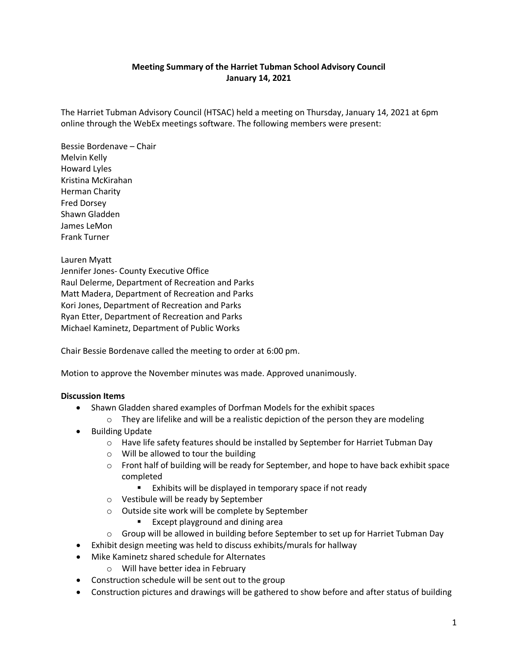## **Meeting Summary of the Harriet Tubman School Advisory Council January 14, 2021**

The Harriet Tubman Advisory Council (HTSAC) held a meeting on Thursday, January 14, 2021 at 6pm online through the WebEx meetings software. The following members were present:

Bessie Bordenave – Chair Melvin Kelly Howard Lyles Kristina McKirahan Herman Charity Fred Dorsey Shawn Gladden James LeMon Frank Turner

Lauren Myatt Jennifer Jones- County Executive Office Raul Delerme, Department of Recreation and Parks Matt Madera, Department of Recreation and Parks Kori Jones, Department of Recreation and Parks Ryan Etter, Department of Recreation and Parks Michael Kaminetz, Department of Public Works

Chair Bessie Bordenave called the meeting to order at 6:00 pm.

Motion to approve the November minutes was made. Approved unanimously.

## **Discussion Items**

- Shawn Gladden shared examples of Dorfman Models for the exhibit spaces
	- $\circ$  They are lifelike and will be a realistic depiction of the person they are modeling
- Building Update
	- o Have life safety features should be installed by September for Harriet Tubman Day
	- o Will be allowed to tour the building
	- $\circ$  Front half of building will be ready for September, and hope to have back exhibit space completed
		- **Exhibits will be displayed in temporary space if not ready**
	- o Vestibule will be ready by September
	- o Outside site work will be complete by September
		- **Except playground and dining area**
	- o Group will be allowed in building before September to set up for Harriet Tubman Day
- Exhibit design meeting was held to discuss exhibits/murals for hallway
- Mike Kaminetz shared schedule for Alternates
	- o Will have better idea in February
- Construction schedule will be sent out to the group
- Construction pictures and drawings will be gathered to show before and after status of building